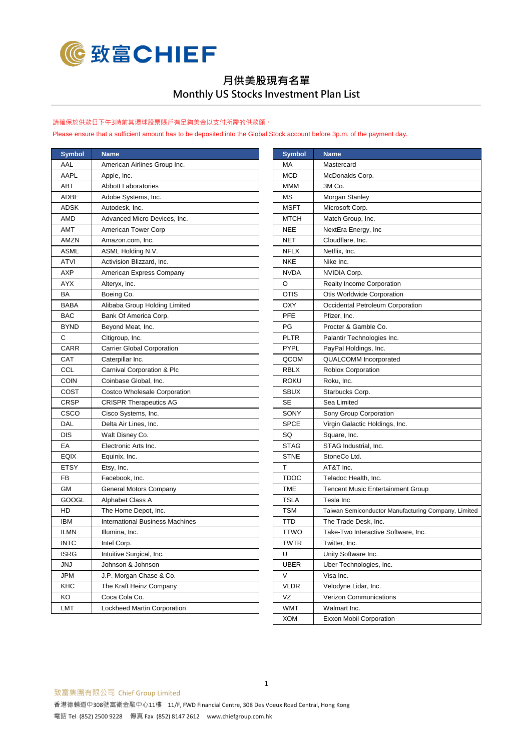

## **月供美股現有名單 Monthly US Stocks Investment Plan List**

## 請確保於供款日下午3時前其環球股票賬戶有足夠美金以支付所需的供款額。

Please ensure that a sufficient amount has to be deposited into the Global Stock account before 3p.m. of the payment day.

| <b>Symbol</b> | <b>Name</b>                            | <b>Symbol</b> | <b>Name</b>                         |
|---------------|----------------------------------------|---------------|-------------------------------------|
| AAL           | American Airlines Group Inc.           | МA            | Mastercard                          |
| AAPL          | Apple, Inc.                            | <b>MCD</b>    | McDonalds Corp.                     |
| ABT           | <b>Abbott Laboratories</b>             | <b>MMM</b>    | 3M Co.                              |
| ADBE          | Adobe Systems, Inc.                    | MS            | Morgan Stanley                      |
| <b>ADSK</b>   | Autodesk, Inc.                         | <b>MSFT</b>   | Microsoft Corp.                     |
| AMD           | Advanced Micro Devices, Inc.           | <b>MTCH</b>   | Match Group, Inc.                   |
| AMT           | American Tower Corp                    | <b>NEE</b>    | NextEra Energy, Inc                 |
| AMZN          | Amazon.com, Inc.                       | NET           | Cloudflare, Inc.                    |
| <b>ASML</b>   | ASML Holding N.V.                      | <b>NFLX</b>   | Netflix. Inc.                       |
| <b>ATVI</b>   | Activision Blizzard, Inc.              | <b>NKE</b>    | Nike Inc.                           |
| <b>AXP</b>    | American Express Company               | <b>NVDA</b>   | NVIDIA Corp.                        |
| <b>AYX</b>    | Alteryx, Inc.                          | O             | Realty Income Corporation           |
| BA            | Boeing Co.                             | <b>OTIS</b>   | Otis Worldwide Corporation          |
| <b>BABA</b>   | Alibaba Group Holding Limited          | OXY           | Occidental Petroleum Corporation    |
| <b>BAC</b>    | Bank Of America Corp.                  | <b>PFE</b>    | Pfizer, Inc.                        |
| <b>BYND</b>   | Beyond Meat, Inc.                      | PG            | Procter & Gamble Co.                |
| C             | Citigroup, Inc.                        | PLTR          | Palantir Technologies Inc.          |
| <b>CARR</b>   | <b>Carrier Global Corporation</b>      | <b>PYPL</b>   | PayPal Holdings, Inc.               |
| CAT           | Caterpillar Inc.                       | QCOM          | <b>QUALCOMM</b> Incorporated        |
| CCL           | Carnival Corporation & Plc             | RBLX          | Roblox Corporation                  |
| <b>COIN</b>   | Coinbase Global, Inc.                  | ROKU          | Roku, Inc.                          |
| COST          | Costco Wholesale Corporation           | <b>SBUX</b>   | Starbucks Corp.                     |
| <b>CRSP</b>   | <b>CRISPR Therapeutics AG</b>          | SE            | Sea Limited                         |
| <b>CSCO</b>   | Cisco Systems, Inc.                    | SONY          | Sony Group Corporation              |
| DAL           | Delta Air Lines, Inc.                  | <b>SPCE</b>   | Virgin Galactic Holdings, Inc.      |
| <b>DIS</b>    | Walt Disney Co.                        | SQ            | Square, Inc.                        |
| EA            | Electronic Arts Inc.                   | <b>STAG</b>   | STAG Industrial, Inc.               |
| <b>EQIX</b>   | Equinix, Inc.                          | <b>STNE</b>   | StoneCo Ltd.                        |
| <b>ETSY</b>   | Etsy, Inc.                             | т             | AT&T Inc.                           |
| FB            | Facebook, Inc.                         | TDOC          | Teladoc Health, Inc.                |
| <b>GM</b>     | General Motors Company                 | TME           | Tencent Music Entertainment Group   |
| <b>GOOGL</b>  | Alphabet Class A                       | <b>TSLA</b>   | Tesla Inc                           |
| HD            | The Home Depot, Inc.                   | <b>TSM</b>    | Taiwan Semiconductor Manufacturing  |
| <b>IBM</b>    | <b>International Business Machines</b> | TTD           | The Trade Desk, Inc.                |
| ILMN          | Illumina, Inc.                         | TTWO          | Take-Two Interactive Software, Inc. |
| <b>INTC</b>   | Intel Corp.                            | <b>TWTR</b>   | Twitter, Inc.                       |
| <b>ISRG</b>   | Intuitive Surgical, Inc.               | U             | Unity Software Inc.                 |
| JNJ           | Johnson & Johnson                      | <b>UBER</b>   | Uber Technologies, Inc.             |
| <b>JPM</b>    | J.P. Morgan Chase & Co.                | V             | Visa Inc.                           |
| KHC           | The Kraft Heinz Company                | <b>VLDR</b>   | Velodyne Lidar, Inc.                |
| KO            | Coca Cola Co.                          | VZ            | Verizon Communications              |
| LMT           | Lockheed Martin Corporation            | WMT           | Walmart Inc.                        |
|               |                                        |               |                                     |

| <b>Symbol</b> | <b>Name</b>                            | <b>Symbol</b> | <b>Name</b>                                         |
|---------------|----------------------------------------|---------------|-----------------------------------------------------|
| AAL           | American Airlines Group Inc.           | МA            | Mastercard                                          |
| AAPL          | Apple, Inc.                            | <b>MCD</b>    | McDonalds Corp.                                     |
| ABT           | <b>Abbott Laboratories</b>             | MMM           | 3M Co.                                              |
| ADBE          | Adobe Systems, Inc.                    | МS            | Morgan Stanley                                      |
| ADSK          | Autodesk, Inc.                         | <b>MSFT</b>   | Microsoft Corp.                                     |
| AMD           | Advanced Micro Devices, Inc.           | MTCH          | Match Group, Inc.                                   |
| AMT           | American Tower Corp                    | NEE           | NextEra Energy, Inc                                 |
| AMZN          | Amazon.com, Inc.                       | NET           | Cloudflare, Inc.                                    |
| ASML          | ASML Holding N.V.                      | <b>NFLX</b>   | Netflix, Inc.                                       |
| ATVI          | Activision Blizzard, Inc.              | NKE           | Nike Inc.                                           |
| АХР           | American Express Company               | NVDA          | NVIDIA Corp.                                        |
| AYX           | Alteryx, Inc.                          | O             | <b>Realty Income Corporation</b>                    |
| ВA            | Boeing Co.                             | OTIS          | Otis Worldwide Corporation                          |
| BABA          | Alibaba Group Holding Limited          | OXY           | Occidental Petroleum Corporation                    |
| BAC           | Bank Of America Corp.                  | PFE           | Pfizer, Inc.                                        |
| BYND          | Beyond Meat, Inc.                      | PG            | Procter & Gamble Co.                                |
| С             | Citigroup, Inc.                        | PLTR          | Palantir Technologies Inc.                          |
| CARR          | <b>Carrier Global Corporation</b>      | PYPL          | PayPal Holdings, Inc.                               |
| САТ           | Caterpillar Inc.                       | QCOM          | <b>QUALCOMM</b> Incorporated                        |
| CCL           | Carnival Corporation & Plc             | RBLX          | <b>Roblox Corporation</b>                           |
| COIN          | Coinbase Global, Inc.                  | roku          | Roku, Inc.                                          |
| COST          | Costco Wholesale Corporation           | SBUX          | Starbucks Corp.                                     |
| CRSP          | <b>CRISPR Therapeutics AG</b>          | SЕ            | Sea Limited                                         |
| csco          | Cisco Systems, Inc.                    | SONY          | Sony Group Corporation                              |
| DAL           | Delta Air Lines, Inc.                  | <b>SPCE</b>   | Virgin Galactic Holdings, Inc.                      |
| DIS           | Walt Disney Co.                        | SQ            | Square, Inc.                                        |
| EА            | Electronic Arts Inc.                   | STAG          | STAG Industrial, Inc.                               |
| EQIX          | Equinix, Inc.                          | <b>STNE</b>   | StoneCo Ltd.                                        |
| ETSY          | Etsy, Inc.                             | т             | AT&T Inc.                                           |
| FB            | Facebook, Inc.                         | TDOC          | Teladoc Health, Inc.                                |
| GМ            | General Motors Company                 | TME           | <b>Tencent Music Entertainment Group</b>            |
| GOOGL         | Alphabet Class A                       | <b>TSLA</b>   | Tesla Inc                                           |
| HD            | The Home Depot, Inc.                   | TSM           | Taiwan Semiconductor Manufacturing Company, Limited |
| IBM           | <b>International Business Machines</b> | TTD           | The Trade Desk, Inc.                                |
| ilmn          | Illumina, Inc.                         | <b>TTWO</b>   | Take-Two Interactive Software, Inc.                 |
| INTC          | Intel Corp.                            | TWTR          | Twitter, Inc.                                       |
| ISRG          | Intuitive Surgical, Inc.               | U             | Unity Software Inc.                                 |
| JNJ           | Johnson & Johnson                      | UBER          | Uber Technologies, Inc.                             |
| JPM           | J.P. Morgan Chase & Co.                | V             | Visa Inc.                                           |
| KHC           | The Kraft Heinz Company                | <b>VLDR</b>   | Velodyne Lidar, Inc.                                |
| KO            | Coca Cola Co.                          | VZ            | Verizon Communications                              |
| LMT           | Lockheed Martin Corporation            | WMT           | Walmart Inc.                                        |
|               |                                        | <b>XOM</b>    | <b>Exxon Mobil Corporation</b>                      |